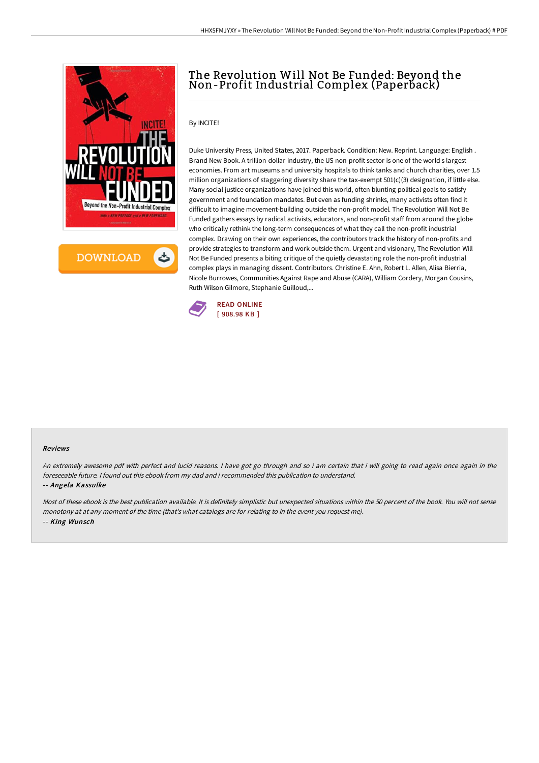



# The Revolution Will Not Be Funded: Beyond the Non-Profit Industrial Complex (Paperback)

## By INCITE!

Duke University Press, United States, 2017. Paperback. Condition: New. Reprint. Language: English . Brand New Book. A trillion-dollar industry, the US non-profit sector is one of the world s largest economies. From art museums and university hospitals to think tanks and church charities, over 1.5 million organizations of staggering diversity share the tax-exempt 501(c)(3) designation, if little else. Many social justice organizations have joined this world, often blunting political goals to satisfy government and foundation mandates. But even as funding shrinks, many activists often find it difficult to imagine movement-building outside the non-profit model. The Revolution Will Not Be Funded gathers essays by radical activists, educators, and non-profit staff from around the globe who critically rethink the long-term consequences of what they call the non-profit industrial complex. Drawing on their own experiences, the contributors track the history of non-profits and provide strategies to transform and work outside them. Urgent and visionary, The Revolution Will Not Be Funded presents a biting critique of the quietly devastating role the non-profit industrial complex plays in managing dissent. Contributors. Christine E. Ahn, Robert L. Allen, Alisa Bierria, Nicole Burrowes, Communities Against Rape and Abuse (CARA), William Cordery, Morgan Cousins, Ruth Wilson Gilmore, Stephanie Guilloud,...



#### Reviews

An extremely awesome pdf with perfect and lucid reasons. <sup>I</sup> have got go through and so i am certain that i will going to read again once again in the foreseeable future. I found out this ebook from my dad and i recommended this publication to understand. -- Angela Kassulke

Most of these ebook is the best publication available. It is definitely simplistic but unexpected situations within the 50 percent of the book. You will not sense monotony at at any moment of the time (that's what catalogs are for relating to in the event you request me). -- King Wunsch